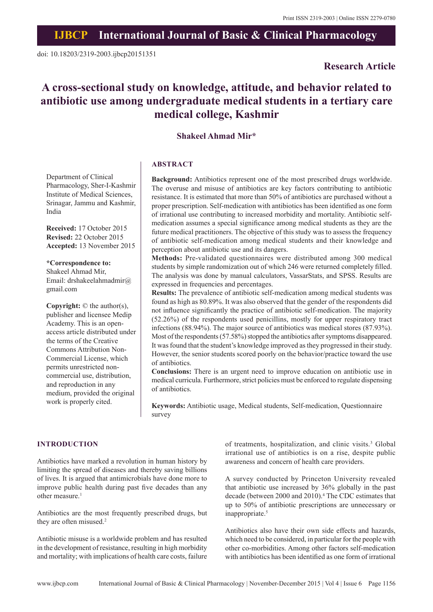# **IJBCP International Journal of Basic & Clinical Pharmacology**

# **Research Article**

# **A cross-sectional study on knowledge, attitude, and behavior related to antibiotic use among undergraduate medical students in a tertiary care medical college, Kashmir**

# **Shakeel Ahmad Mir\***

# **ABSTRACT**

Department of Clinical Pharmacology, Sher-I-Kashmir Institute of Medical Sciences, Srinagar, Jammu and Kashmir, India

**Received:** 17 October 2015 **Revised:** 22 October 2015 **Accepted:** 13 November 2015

**\*Correspondence to:** Shakeel Ahmad Mir, Email: drshakeelahmadmir@ gmail.com

**Copyright:** © the author(s), publisher and licensee Medip Academy. This is an openaccess article distributed under the terms of the Creative Commons Attribution Non-Commercial License, which permits unrestricted noncommercial use, distribution, and reproduction in any medium, provided the original work is properly cited.

**Background:** Antibiotics represent one of the most prescribed drugs worldwide. The overuse and misuse of antibiotics are key factors contributing to antibiotic resistance. It is estimated that more than 50% of antibiotics are purchased without a proper prescription. Self-medication with antibiotics has been identified as one form of irrational use contributing to increased morbidity and mortality. Antibiotic selfmedication assumes a special significance among medical students as they are the future medical practitioners. The objective of this study was to assess the frequency of antibiotic self-medication among medical students and their knowledge and perception about antibiotic use and its dangers.

**Methods:** Pre-validated questionnaires were distributed among 300 medical students by simple randomization out of which 246 were returned completely filled. The analysis was done by manual calculators, VassarStats, and SPSS. Results are expressed in frequencies and percentages.

**Results:** The prevalence of antibiotic self-medication among medical students was found as high as 80.89%. It was also observed that the gender of the respondents did not influence significantly the practice of antibiotic self-medication. The majority (52.26%) of the respondents used penicillins, mostly for upper respiratory tract infections (88.94%). The major source of antibiotics was medical stores (87.93%). Most of the respondents (57.58%) stopped the antibiotics after symptoms disappeared. It was found that the student's knowledge improved as they progressed in their study. However, the senior students scored poorly on the behavior/practice toward the use of antibiotics.

**Conclusions:** There is an urgent need to improve education on antibiotic use in medical curricula. Furthermore, strict policies must be enforced to regulate dispensing of antibiotics.

**Keywords:** Antibiotic usage, Medical students, Self-medication, Questionnaire survey

# **INTRODUCTION**

Antibiotics have marked a revolution in human history by limiting the spread of diseases and thereby saving billions of lives. It is argued that antimicrobials have done more to improve public health during past five decades than any other measure.<sup>1</sup>

Antibiotics are the most frequently prescribed drugs, but they are often misused.<sup>2</sup>

Antibiotic misuse is a worldwide problem and has resulted in the development of resistance, resulting in high morbidity and mortality; with implications of health care costs, failure

of treatments, hospitalization, and clinic visits.<sup>3</sup> Global irrational use of antibiotics is on a rise, despite public awareness and concern of health care providers.

A survey conducted by Princeton University revealed that antibiotic use increased by 36% globally in the past decade (between 2000 and 2010).<sup>4</sup> The CDC estimates that up to 50% of antibiotic prescriptions are unnecessary or inappropriate.<sup>5</sup>

Antibiotics also have their own side effects and hazards, which need to be considered, in particular for the people with other co-morbidities. Among other factors self-medication with antibiotics has been identified as one form of irrational

www.ijbcp.com International Journal of Basic & Clinical Pharmacology | November-December 2015 | Vol 4 | Issue 6 Page 1156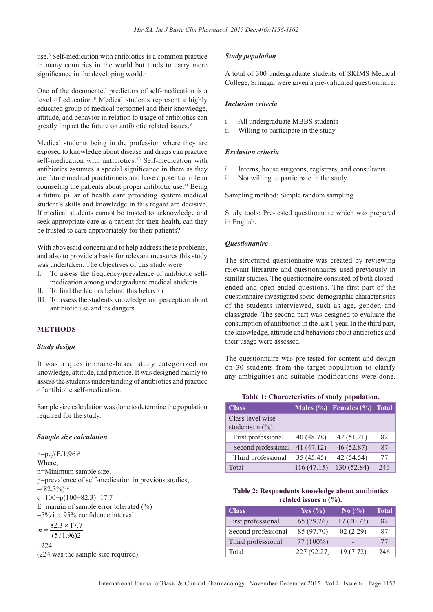use.6 Self-medication with antibiotics is a common practice in many countries in the world but tends to carry more significance in the developing world.<sup>7</sup>

One of the documented predictors of self-medication is a level of education.<sup>8</sup> Medical students represent a highly educated group of medical personnel and their knowledge, attitude, and behavior in relation to usage of antibiotics can greatly impact the future on antibiotic related issues.<sup>9</sup>

Medical students being in the profession where they are exposed to knowledge about disease and drugs can practice self-medication with antibiotics.<sup>10</sup> Self-medication with antibiotics assumes a special significance in them as they are future medical practitioners and have a potential role in counseling the patients about proper antibiotic use.<sup>11</sup> Being a future pillar of health care providing system medical student's skills and knowledge in this regard are decisive. If medical students cannot be trusted to acknowledge and seek appropriate care as a patient for their health, can they be trusted to care appropriately for their patients?

With abovesaid concern and to help address these problems, and also to provide a basis for relevant measures this study was undertaken. The objectives of this study were:

- I. To assess the frequency/prevalence of antibiotic selfmedication among undergraduate medical students
- II. To find the factors behind this behavior
- III. To assess the students knowledge and perception about antibiotic use and its dangers.

# **METHODS**

## *Study design*

It was a questionnaire-based study categorized on knowledge, attitude, and practice. It was designed mainly to assess the students understanding of antibiotics and practice of antibiotic self-medication.

Sample size calculation was done to determine the population required for the study.

#### *Sample size calculation*

 $n=pq/(E/1.96)^2$ Where, n=Minimum sample size, p=prevalence of self-medication in previous studies,  $=(82.3\%)^{12}$ q=100−p(100−82.3)=17.7 E=margin of sample error tolerated (%)  $=5\%$  i.e. 95% confidence interval  $n = \frac{82.3 \times 17.7}{(2.11 \times 10^{-9})^2}$ 

 $(5/1.96)2$ 

$$
=224
$$

(224 was the sample size required).

#### *Study population*

A total of 300 undergraduate students of SKIMS Medical College, Srinagar were given a pre-validated questionnaire.

#### *Inclusion criteria*

- i. All undergraduate MBBS students
- ii. Willing to participate in the study.

# *Exclusion criteria*

- i. Interns, house surgeons, registrars, and consultants
- ii. Not willing to participate in the study.

Sampling method: Simple random sampling.

Study tools: Pre-tested questionnaire which was prepared in English.

# *Questionanire*

The structured questionnaire was created by reviewing relevant literature and questionnaires used previously in similar studies. The questionnaire consisted of both closedended and open-ended questions. The first part of the questionnaire investigated socio-demographic characteristics of the students interviewed, such as age, gender, and class/grade. The second part was designed to evaluate the consumption of antibiotics in the last 1 year. In the third part, the knowledge, attitude and behaviors about antibiotics and their usage were assessed.

The questionnaire was pre-tested for content and design on 30 students from the target population to clarify any ambiguities and suitable modifications were done.

| <b>Class</b>                          |            | Males $(\% )$ Females $(\% )$ Total |     |
|---------------------------------------|------------|-------------------------------------|-----|
| Class level wise<br>students: $n$ (%) |            |                                     |     |
| First professional                    | 40 (48.78) | 42(51.21)                           | 82  |
| Second professional                   | 41 (47.12) | 46 (52.87)                          | 87  |
| Third professional                    | 35(45.45)  | 42 (54.54)                          | 77  |
| Total                                 | 116(47.15) | 130 (52.84)                         | 246 |

# **Table 1: Characteristics of study population.**

# **Table 2: Respondents knowledge about antibiotics related issues n (%).**

| Class               | Yes $(\% )$ | No $\left(\frac{9}{6}\right)$ | <b>Total</b> |
|---------------------|-------------|-------------------------------|--------------|
| First professional  | 65 (79.26)  | 17(20.73)                     | 82           |
| Second professional | 85 (97.70)  | 02(2.29)                      | 87           |
| Third professional  | $77(100\%)$ |                               | 77           |
| Total               | 227(92.27)  | 19(7.72)                      | 246          |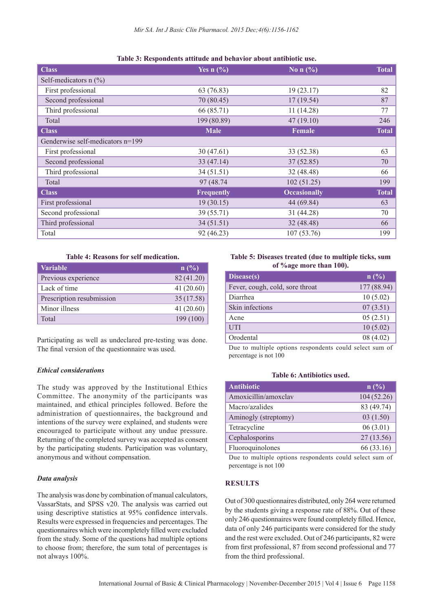| <b>Class</b>                     | Yes $n(\%)$ | No n $(\% )$        | <b>Total</b> |
|----------------------------------|-------------|---------------------|--------------|
| Self-medicators $n$ (%)          |             |                     |              |
| First professional               | 63 (76.83)  | 19(23.17)           | 82           |
| Second professional              | 70 (80.45)  | 17(19.54)           | 87           |
| Third professional               | 66 (85.71)  | 11(14.28)           | 77           |
| Total                            | 199 (80.89) | 47(19.10)           | 246          |
| <b>Class</b>                     | <b>Male</b> | <b>Female</b>       | <b>Total</b> |
| Genderwise self-medicators n=199 |             |                     |              |
| First professional               | 30(47.61)   | 33 (52.38)          | 63           |
| Second professional              | 33(47.14)   | 37(52.85)           | 70           |
| Third professional               | 34(51.51)   | 32 (48.48)          | 66           |
| Total                            | 97 (48.74)  | 102(51.25)          | 199          |
| <b>Class</b>                     | Frequently  | <b>Occasionally</b> | <b>Total</b> |
| First professional               | 19(30.15)   | 44 (69.84)          | 63           |
| Second professional              | 39 (55.71)  | 31 (44.28)          | 70           |
| Third professional               | 34(51.51)   | 32 (48.48)          | 66           |
| Total                            | 92 (46.23)  | 107(53.76)          | 199          |

#### **Table 4: Reasons for self medication.**

| <b>Variable</b>           | n(%        |
|---------------------------|------------|
| Previous experience       | 82 (41.20) |
| Lack of time              | 41(20.60)  |
| Prescription resubmission | 35(17.58)  |
| Minor illness             | 41(20.60)  |
| Total                     | 199(100)   |

Participating as well as undeclared pre-testing was done. The final version of the questionnaire was used.

# *Ethical considerations*

The study was approved by the Institutional Ethics Committee. The anonymity of the participants was maintained, and ethical principles followed. Before the administration of questionnaires, the background and intentions of the survey were explained, and students were encouraged to participate without any undue pressure. Returning of the completed survey was accepted as consent by the participating students. Participation was voluntary, anonymous and without compensation.

## *Data analysis*

The analysis was done by combination of manual calculators, VassarStats, and SPSS v20. The analysis was carried out using descriptive statistics at 95% confidence intervals. Results were expressed in frequencies and percentages. The questionnaires which were incompletely filled were excluded from the study. Some of the questions had multiple options to choose from; therefore, the sum total of percentages is not always 100%.

# **Table 5: Diseases treated (due to multiple ticks, sum of %age more than 100).**

| Disease(s)                      | n(%)        |
|---------------------------------|-------------|
| Fever, cough, cold, sore throat | 177 (88.94) |
| Diarrhea                        | 10(5.02)    |
| Skin infections                 | 07(3.51)    |
| Acne                            | 05(2.51)    |
| UTI                             | 10(5.02)    |
| Orodental                       | 08 (4.02)   |
|                                 |             |

Due to multiple options respondents could select sum of percentage is not 100

## **Table 6: Antibiotics used.**

| <b>Antibiotic</b>    | $ n ( \% ) $ |
|----------------------|--------------|
| Amoxicillin/amoxclav | 104(52.26)   |
| Macro/azalides       | 83 (49.74)   |
| Aminogly (streptomy) | 03(1.50)     |
| Tetracycline         | 06(3.01)     |
| Cephalosporins       | 27(13.56)    |
| Fluoroquinolones     | 66 (33.16)   |

Due to multiple options respondents could select sum of percentage is not 100

# **RESULTS**

Out of 300 questionnaires distributed, only 264 were returned by the students giving a response rate of 88%. Out of these only 246 questionnaires were found completely filled. Hence, data of only 246 participants were considered for the study and the rest were excluded. Out of 246 participants, 82 were from first professional, 87 from second professional and 77 from the third professional.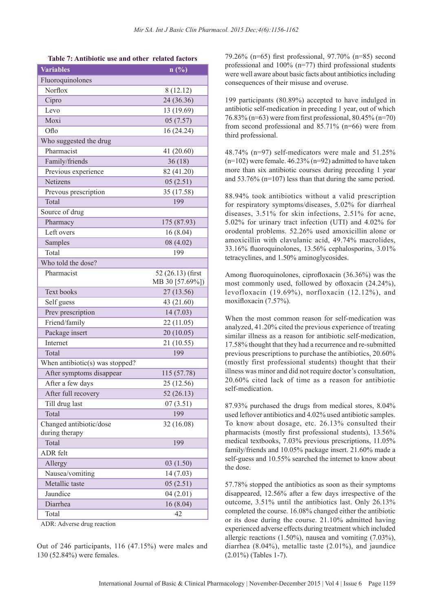| <b>Variables</b>                | n(%)              |
|---------------------------------|-------------------|
| Fluoroquinolones                |                   |
| Norflox                         | 8(12.12)          |
| Cipro                           | 24 (36.36)        |
| Levo                            | 13 (19.69)        |
| Moxi                            | 05(7.57)          |
| Oflo                            | 16 (24.24)        |
| Who suggested the drug          |                   |
| Pharmacist                      | 41 (20.60)        |
| Family/friends                  | 36(18)            |
| Previous experience             | 82 (41.20)        |
| Netizens                        | 05(2.51)          |
| Prevous prescription            | 35 (17.58)        |
| Total                           | 199               |
| Source of drug                  |                   |
| Pharmacy                        | 175 (87.93)       |
| Left overs                      | 16 (8.04)         |
| Samples                         | 08(4.02)          |
| Total                           | 199               |
| Who told the dose?              |                   |
| Pharmacist                      | 52 (26.13) (first |
|                                 | MB 30 [57.69%])   |
| <b>Text books</b>               | 27 (13.56)        |
| Self guess                      | 43 (21.60)        |
| Prev prescription               | 14(7.03)          |
| Friend/family                   | 22 (11.05)        |
| Package insert                  | 20(10.05)         |
| Internet                        | 21 (10.55)        |
| Total<br>199                    |                   |
| When antibiotic(s) was stopped? |                   |
| After symptoms disappear        | 115 (57.78)       |
| After a few days                | 25 (12.56)        |
| After full recovery             | 52(26.13)         |
| Till drug last                  | 07(3.51)          |
| Total                           | 199               |
| Changed antibiotic/dose         | 32 (16.08)        |
| during therapy                  |                   |
| Total                           | 199               |
| <b>ADR</b> felt                 |                   |
| Allergy                         | 03(1.50)          |
| Nausea/vomiting                 | 14 (7.03)         |
| Metallic taste                  | 05(2.51)          |
| Jaundice                        | 04(2.01)          |
| Diarrhea                        | 16(8.04)          |
| Total                           | 42                |

| Table 7: Antibiotic use and other related factors |  |  |
|---------------------------------------------------|--|--|
|---------------------------------------------------|--|--|

ADR: Adverse drug reaction

Out of 246 participants, 116 (47.15%) were males and 130 (52.84%) were females.

79.26% (n=65) first professional,  $97.70\%$  (n=85) second professional and 100% (n=77) third professional students were well aware about basic facts about antibiotics including consequences of their misuse and overuse.

199 participants (80.89%) accepted to have indulged in antibiotic self-medication in preceding 1 year, out of which 76.83% (n=63) were from first professional,  $80.45\%$  (n=70) from second professional and 85.71% (n=66) were from third professional.

48.74% (n=97) self-medicators were male and 51.25%  $(n=102)$  were female. 46.23%  $(n=92)$  admitted to have taken more than six antibiotic courses during preceding 1 year and 53.76% (n=107) less than that during the same period.

88.94% took antibiotics without a valid prescription for respiratory symptoms/diseases, 5.02% for diarrheal diseases, 3.51% for skin infections, 2.51% for acne, 5.02% for urinary tract infection (UTI) and 4.02% for orodental problems. 52.26% used amoxicillin alone or amoxicillin with clavulanic acid, 49.74% macrolides,  $33.16\%$  fluoroquinolones,  $13.56\%$  cephalosporins,  $3.01\%$ tetracyclines, and 1.50% aminoglycosides.

Among fluoroquinolones, ciprofloxacin  $(36.36\%)$  was the most commonly used, followed by ofloxacin  $(24.24\%)$ , levofloxacin (19.69%), norfloxacin (12.12%), and moxifloxacin  $(7.57\%)$ .

When the most common reason for self-medication was analyzed, 41.20% cited the previous experience of treating similar illness as a reason for antibiotic self-medication, 17.58% thought that they had a recurrence and re-submitted previous prescriptions to purchase the antibiotics, 20.60% (mostly first professional students) thought that their illness was minor and did not require doctor's consultation, 20.60% cited lack of time as a reason for antibiotic self-medication.

87.93% purchased the drugs from medical stores, 8.04% used leftover antibiotics and 4.02% used antibiotic samples. To know about dosage, etc. 26.13% consulted their pharmacists (mostly first professional students), 13.56% medical textbooks, 7.03% previous prescriptions, 11.05% family/friends and 10.05% package insert. 21.60% made a self-guess and 10.55% searched the internet to know about the dose.

57.78% stopped the antibiotics as soon as their symptoms disappeared, 12.56% after a few days irrespective of the outcome, 3.51% until the antibiotics last. Only 26.13% completed the course. 16.08% changed either the antibiotic or its dose during the course. 21.10% admitted having experienced adverse effects during treatment which included allergic reactions (1.50%), nausea and vomiting (7.03%), diarrhea (8.04%), metallic taste (2.01%), and jaundice (2.01%) (Tables 1-7).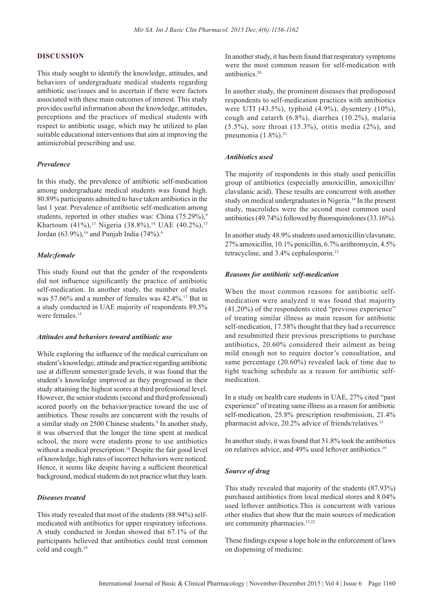## **DISCUSSION**

This study sought to identify the knowledge, attitudes, and behaviors of undergraduate medical students regarding antibiotic use/issues and to ascertain if there were factors associated with these main outcomes of interest. This study provides useful information about the knowledge, attitudes, perceptions and the practices of medical students with respect to antibiotic usage, which may be utilized to plan suitable educational interventions that aim at improving the antimicrobial prescribing and use.

#### *Prevalence*

In this study, the prevalence of antibiotic self-medication among undergraduate medical students was found high. 80.89% participants admitted to have taken antibiotics in the last 1 year. Prevalence of antibiotic self-medication among students, reported in other studies was: China  $(75.29\%)$ , Khartoum (41%),<sup>13</sup> Nigeria (38.8%),<sup>14</sup> UAE (40.2%),<sup>15</sup> Jordan (63.9%),<sup>16</sup> and Punjab India (74%).<sup>6</sup>

## *Male:female*

This study found out that the gender of the respondents did not influence significantly the practice of antibiotic self-medication. In another study, the number of males was 57.66% and a number of females was 42.4%.17 But in a study conducted in UAE majority of respondents 89.5% were females $15$ 

## *Attitudes and behaviors toward antibiotic use*

While exploring the influence of the medical curriculum on student's knowledge, attitude and practice regarding antibiotic use at different semester/grade levels, it was found that the student's knowledge improved as they progressed in their study attaining the highest scores at third professional level. However, the senior students (second and third professional) scored poorly on the behavior/practice toward the use of antibiotics. These results are concurrent with the results of a similar study on 2500 Chinese students.<sup>9</sup> In another study, it was observed that the longer the time spent at medical school, the more were students prone to use antibiotics without a medical prescription.<sup>18</sup> Despite the fair good level of knowledge, high rates of incorrect behaviors were noticed. Hence, it seems like despite having a sufficient theoretical background, medical students do not practice what they learn.

#### *Diseases treated*

This study revealed that most of the students (88.94%) selfmedicated with antibiotics for upper respiratory infections. A study conducted in Jordan showed that 67.1% of the participants believed that antibiotics could treat common cold and cough.<sup>19</sup>

In another study, it has been found that respiratory symptoms were the most common reason for self-medication with antibiotics<sup>20</sup>

In another study, the prominent diseases that predisposed respondents to self-medication practices with antibiotics were UTI (43.5%), typhoid (4.9%), dysentery (10%), cough and catarrh (6.8%), diarrhea (10.2%), malaria  $(5.5\%)$ , sore throat  $(15.3\%)$ , otitis media  $(2\%)$ , and pneumonia  $(1.8\%)$ .<sup>21</sup>

#### *Antibiotics used*

The majority of respondents in this study used penicillin group of antibiotics (especially amoxicillin, amoxicillin/ clavulanic acid). These results are concurrent with another study on medical undergraduates in Nigeria.<sup>14</sup> In the present study, macrolides were the second most common used antibiotics (49.74%) followed by fluoroquinolones (33.16%).

In another study 48.9% students used amoxicillin/clavunate, 27% amoxicillin, 10.1% penicillin, 6.7% azithromycin, 4.5% tetracycline, and 3.4% cephalosporin.15

#### *Reasons for antibiotic self-medication*

When the most common reasons for antibiotic selfmedication were analyzed it was found that majority (41.20%) of the respondents cited "previous experience" of treating similar illness as main reason for antibiotic self-medication, 17.58% thought that they had a recurrence and resubmitted their previous prescriptions to purchase antibiotics, 20.60% considered their ailment as being mild enough not to require doctor's consultation, and same percentage (20.60%) revealed lack of time due to tight teaching schedule as a reason for antibiotic selfmedication.

In a study on health care students in UAE, 27% cited "past experience" of treating same illness as a reason for antibiotic self-medication, 25.8% prescription resubmission, 21.4% pharmacist advice, 20.2% advice of friends/relatives.<sup>15</sup>

In another study, it was found that 51.8% took the antibiotics on relatives advice, and 49% used leftover antibiotics.<sup>19</sup>

## *Source of drug*

This study revealed that majority of the students (87.93%) purchased antibiotics from local medical stores and 8.04% used leftover antibiotics.This is concurrent with various other studies that show that the main sources of medication are community pharmacies.<sup>15,22</sup>

These findings expose a lope hole in the enforcement of laws on dispensing of medicine.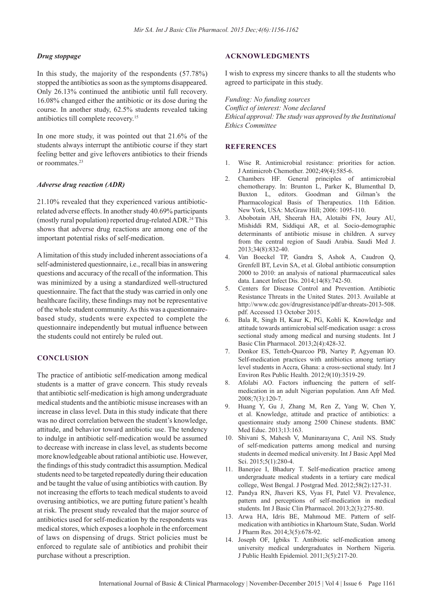#### *Drug stoppage*

In this study, the majority of the respondents (57.78%) stopped the antibiotics as soon as the symptoms disappeared. Only 26.13% continued the antibiotic until full recovery. 16.08% changed either the antibiotic or its dose during the course. In another study, 62.5% students revealed taking antibiotics till complete recovery.15

In one more study, it was pointed out that 21.6% of the students always interrupt the antibiotic course if they start feeling better and give leftovers antibiotics to their friends or roommates.<sup>23</sup>

## *Adverse drug reaction (ADR)*

21.10% revealed that they experienced various antibioticrelated adverse effects. In another study 40.69% participants (mostly rural population) reported drug-related ADR.24 This shows that adverse drug reactions are among one of the important potential risks of self-medication.

A limitation of this study included inherent associations of a self-administered questionnaire, i.e., recall bias in answering questions and accuracy of the recall of the information. This was minimized by a using a standardized well-structured questionnaire. The fact that the study was carried in only one healthcare facility, these findings may not be representative of the whole student community. As this was a questionnairebased study, students were expected to complete the questionnaire independently but mutual influence between the students could not entirely be ruled out.

# **CONCLUSION**

The practice of antibiotic self-medication among medical students is a matter of grave concern. This study reveals that antibiotic self-medication is high among undergraduate medical students and the antibiotic misuse increases with an increase in class level. Data in this study indicate that there was no direct correlation between the student's knowledge, attitude, and behavior toward antibiotic use. The tendency to indulge in antibiotic self-medication would be assumed to decrease with increase in class level, as students become more knowledgeable about rational antibiotic use. However, the findings of this study contradict this assumption. Medical students need to be targeted repeatedly during their education and be taught the value of using antibiotics with caution. By not increasing the efforts to teach medical students to avoid overusing antibiotics, we are putting future patient's health at risk. The present study revealed that the major source of antibiotics used for self-medication by the respondents was medical stores, which exposes a loophole in the enforcement of laws on dispensing of drugs. Strict policies must be enforced to regulate sale of antibiotics and prohibit their purchase without a prescription.

## **ACKNOWLEDGMENTS**

I wish to express my sincere thanks to all the students who agreed to participate in this study.

*Funding: No funding sources Confl ict of interest: None declared Ethical approval: The study was approved by the Institutional Ethics Committee*

# **REFERENCES**

- 1. Wise R. Antimicrobial resistance: priorities for action. J Antimicrob Chemother. 2002;49(4):585-6.
- 2. Chambers HF. General principles of antimicrobial chemotherapy. In: Brunton L, Parker K, Blumenthal D, Buxton L, editors. Goodman and Gilman's the Pharmacological Basis of Therapeutics. 11th Edition. New York, USA: McGraw Hill; 2006: 1095-110.
- 3. Abobotain AH, Sheerah HA, Alotaibi FN, Joury AU, Mishiddi RM, Siddiqui AR, et al*.* Socio-demographic determinants of antibiotic misuse in children. A survey from the central region of Saudi Arabia. Saudi Med J. 2013;34(8):832-40.
- 4. Van Boeckel TP, Gandra S, Ashok A, Caudron Q, Grenfell BT, Levin SA, et al. Global antibiotic consumption 2000 to 2010: an analysis of national pharmaceutical sales data. Lancet Infect Dis. 2014;14(8):742-50.
- 5. Centers for Disease Control and Prevention. Antibiotic Resistance Threats in the United States. 2013. Available at http://www.cdc.gov/drugresistance/pdf/ar-threats-2013-508. pdf. Accessed 13 October 2015.
- 6. Bala R, Singh H, Kaur K, PG, Kohli K. Knowledge and attitude towards antimicrobial self-medication usage: a cross sectional study among medical and nursing students. Int J Basic Clin Pharmacol. 2013;2(4):428-32.
- 7. Donkor ES, Tetteh-Quarcoo PB, Nartey P, Agyeman IO. Self-medication practices with antibiotics among tertiary level students in Accra, Ghana: a cross-sectional study. Int J Environ Res Public Health. 2012;9(10):3519-29.
- 8. Afolabi AO. Factors influencing the pattern of selfmedication in an adult Nigerian population. Ann Afr Med. 2008;7(3):120-7.
- 9. Huang Y, Gu J, Zhang M, Ren Z, Yang W, Chen Y, et al. Knowledge, attitude and practice of antibiotics: a questionnaire study among 2500 Chinese students. BMC Med Educ. 2013;13:163.
- 10. Shivani S, Mahesh V, Muninarayana C, Anil NS. Study of self-medication patterns among medical and nursing students in deemed medical university. Int J Basic Appl Med Sci. 2015;5(1):280-4.
- 11. Banerjee I, Bhadury T. Self-medication practice among undergraduate medical students in a tertiary care medical college, West Bengal. J Postgrad Med. 2012;58(2):127-31.
- 12. Pandya RN, Jhaveri KS, Vyas FI, Patel VJ. Prevalence, pattern and perceptions of self-medication in medical students. Int J Basic Clin Pharmacol. 2013;2(3):275-80.
- 13. Arwa HA, Idris BE, Mahmoud ME. Pattern of selfmedication with antibiotics in Khartoum State, Sudan. World J Pharm Res. 2014;3(5):678-92.
- 14. Joseph OF, Igbiks T. Antibiotic self-medication among university medical undergraduates in Northern Nigeria. J Public Health Epidemiol. 2011;3(5):217-20.